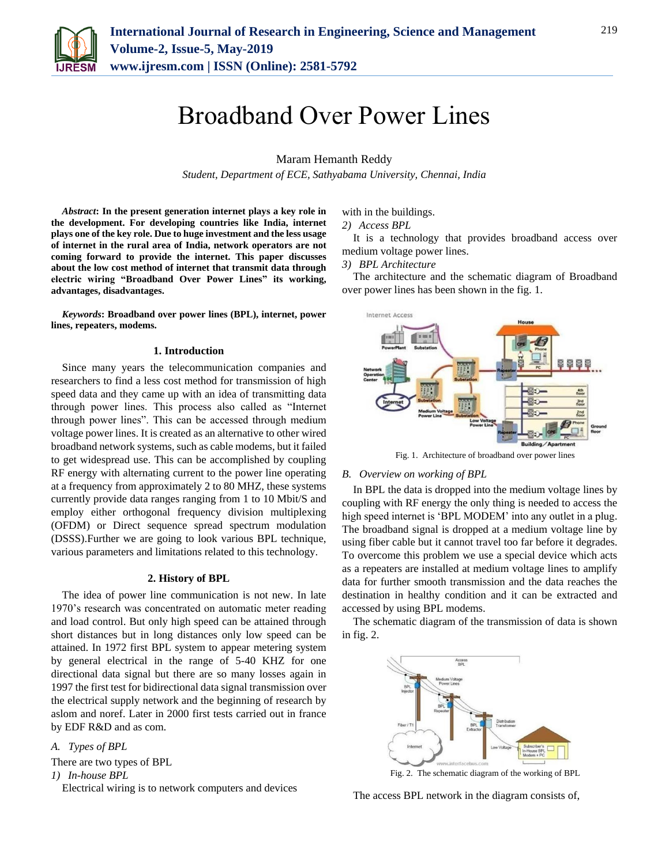

# Broadband Over Power Lines

# Maram Hemanth Reddy

*Student, Department of ECE, Sathyabama University, Chennai, India*

*Abstract***: In the present generation internet plays a key role in the development. For developing countries like India, internet plays one of the key role. Due to huge investment and the less usage of internet in the rural area of India, network operators are not coming forward to provide the internet. This paper discusses about the low cost method of internet that transmit data through electric wiring "Broadband Over Power Lines" its working, advantages, disadvantages.**

*Keywords***: Broadband over power lines (BPL), internet, power lines, repeaters, modems.**

#### **1. Introduction**

Since many years the telecommunication companies and researchers to find a less cost method for transmission of high speed data and they came up with an idea of transmitting data through power lines. This process also called as "Internet through power lines". This can be accessed through medium voltage power lines. It is created as an alternative to other wired broadband network systems, such as cable modems, but it failed to get widespread use. This can be accomplished by coupling RF energy with alternating current to the power line operating at a frequency from approximately 2 to 80 MHZ, these systems currently provide data ranges ranging from 1 to 10 Mbit/S and employ either orthogonal frequency division multiplexing (OFDM) or Direct sequence spread spectrum modulation (DSSS).Further we are going to look various BPL technique, various parameters and limitations related to this technology.

#### **2. History of BPL**

The idea of power line communication is not new. In late 1970's research was concentrated on automatic meter reading and load control. But only high speed can be attained through short distances but in long distances only low speed can be attained. In 1972 first BPL system to appear metering system by general electrical in the range of 5-40 KHZ for one directional data signal but there are so many losses again in 1997 the first test for bidirectional data signal transmission over the electrical supply network and the beginning of research by aslom and noref. Later in 2000 first tests carried out in france by EDF R&D and as com.

*A. Types of BPL*

There are two types of BPL

*1) In-house BPL*

Electrical wiring is to network computers and devices

with in the buildings.

*2) Access BPL*

It is a technology that provides broadband access over medium voltage power lines.

*3) BPL Architecture* 

The architecture and the schematic diagram of Broadband over power lines has been shown in the fig. 1.



Fig. 1. Architecture of broadband over power lines

#### *B. Overview on working of BPL*

In BPL the data is dropped into the medium voltage lines by coupling with RF energy the only thing is needed to access the high speed internet is 'BPL MODEM' into any outlet in a plug. The broadband signal is dropped at a medium voltage line by using fiber cable but it cannot travel too far before it degrades. To overcome this problem we use a special device which acts as a repeaters are installed at medium voltage lines to amplify data for further smooth transmission and the data reaches the destination in healthy condition and it can be extracted and accessed by using BPL modems.

The schematic diagram of the transmission of data is shown in fig. 2.



Fig. 2. The schematic diagram of the working of BPL

The access BPL network in the diagram consists of,